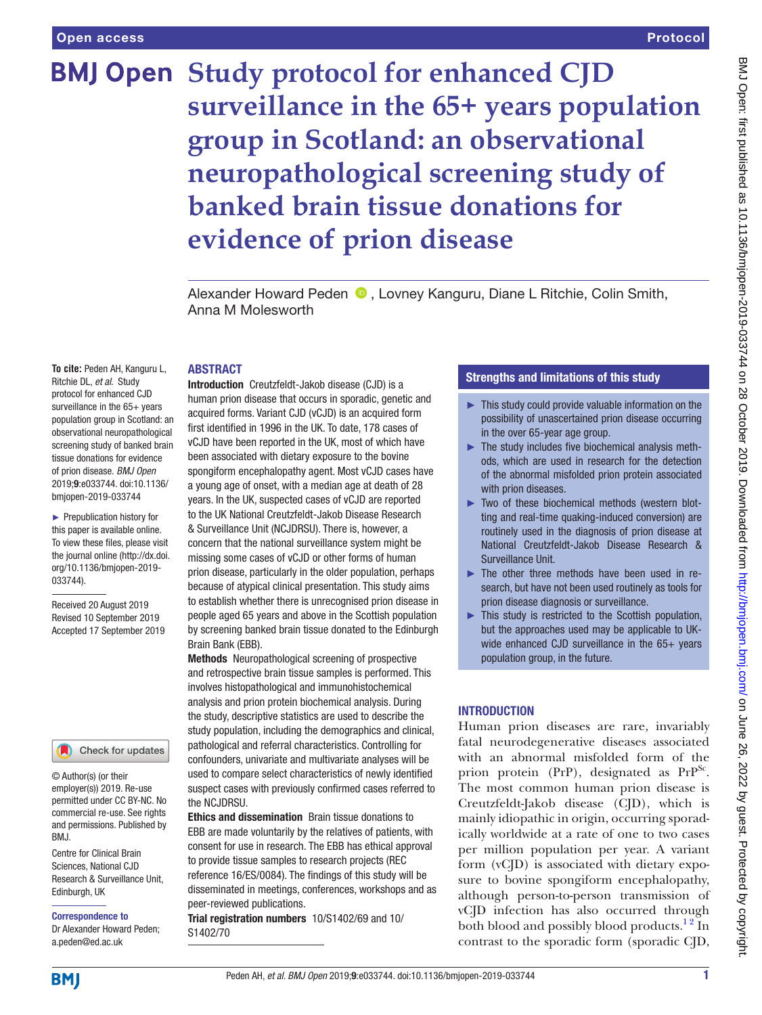# **BMJ Open Study protocol for enhanced CJD surveillance in the 65+ years population group in Scotland: an observational neuropathological screening study of banked brain tissue donations for evidence of prion disease**

AlexanderHoward Peden **D**, Lovney Kanguru, Diane L Ritchie, Colin Smith, Anna M Molesworth

### **ABSTRACT**

**To cite:** Peden AH, Kanguru L, Ritchie DL, *et al*. Study protocol for enhanced CJD surveillance in the 65+ years population group in Scotland: an observational neuropathological screening study of banked brain tissue donations for evidence of prion disease. *BMJ Open* 2019;9:e033744. doi:10.1136/ bmjopen-2019-033744

► Prepublication history for this paper is available online. To view these files, please visit the journal online (http://dx.doi. org/10.1136/bmjopen-2019- 033744).

Received 20 August 2019 Revised 10 September 2019 Accepted 17 September 2019



© Author(s) (or their employer(s)) 2019. Re-use permitted under CC BY-NC. No commercial re-use. See rights and permissions. Published by RM<sub>J</sub>

Centre for Clinical Brain Sciences, National CJD Research & Surveillance Unit, Edinburgh, UK

Correspondence to Dr Alexander Howard Peden; a.peden@ed.ac.uk

human prion disease that occurs in sporadic, genetic and acquired forms. Variant CJD (vCJD) is an acquired form first identified in 1996 in the UK. To date, 178 cases of vCJD have been reported in the UK, most of which have been associated with dietary exposure to the bovine spongiform encephalopathy agent. Most vCJD cases have a young age of onset, with a median age at death of 28 years. In the UK, suspected cases of vCJD are reported to the UK National Creutzfeldt-Jakob Disease Research & Surveillance Unit (NCJDRSU). There is, however, a concern that the national surveillance system might be missing some cases of vCJD or other forms of human prion disease, particularly in the older population, perhaps because of atypical clinical presentation. This study aims to establish whether there is unrecognised prion disease in people aged 65 years and above in the Scottish population by screening banked brain tissue donated to the Edinburgh Brain Bank (EBB).

Introduction Creutzfeldt-Jakob disease (CJD) is a

Methods Neuropathological screening of prospective and retrospective brain tissue samples is performed. This involves histopathological and immunohistochemical analysis and prion protein biochemical analysis. During the study, descriptive statistics are used to describe the study population, including the demographics and clinical, pathological and referral characteristics. Controlling for confounders, univariate and multivariate analyses will be used to compare select characteristics of newly identified suspect cases with previously confirmed cases referred to the NCJDRSU.

**Ethics and dissemination** Brain tissue donations to EBB are made voluntarily by the relatives of patients, with consent for use in research. The EBB has ethical approval to provide tissue samples to research projects (REC reference 16/ES/0084). The findings of this study will be disseminated in meetings, conferences, workshops and as peer-reviewed publications.

Trial registration numbers 10/S1402/69 and 10/ S1402/70

# Strengths and limitations of this study

- ► This study could provide valuable information on the possibility of unascertained prion disease occurring in the over 65-year age group.
- $\blacktriangleright$  The study includes five biochemical analysis methods, which are used in research for the detection of the abnormal misfolded prion protein associated with prion diseases.
- ► Two of these biochemical methods (western blotting and real-time quaking-induced conversion) are routinely used in the diagnosis of prion disease at National Creutzfeldt-Jakob Disease Research & Surveillance Unit.
- ► The other three methods have been used in research, but have not been used routinely as tools for prion disease diagnosis or surveillance.
- ► This study is restricted to the Scottish population, but the approaches used may be applicable to UKwide enhanced CJD surveillance in the 65+ years population group, in the future.

## **INTRODUCTION**

Human prion diseases are rare, invariably fatal neurodegenerative diseases associated with an abnormal misfolded form of the prion protein (PrP), designated as  $PrP^{Sc}$ . The most common human prion disease is Creutzfeldt-Jakob disease (CJD), which is mainly idiopathic in origin, occurring sporadically worldwide at a rate of one to two cases per million population per year. A variant form (vCJD) is associated with dietary exposure to bovine spongiform encephalopathy, although person-to-person transmission of vCJD infection has also occurred through both blood and possibly blood products.<sup>12</sup> In contrast to the sporadic form (sporadic CJD,

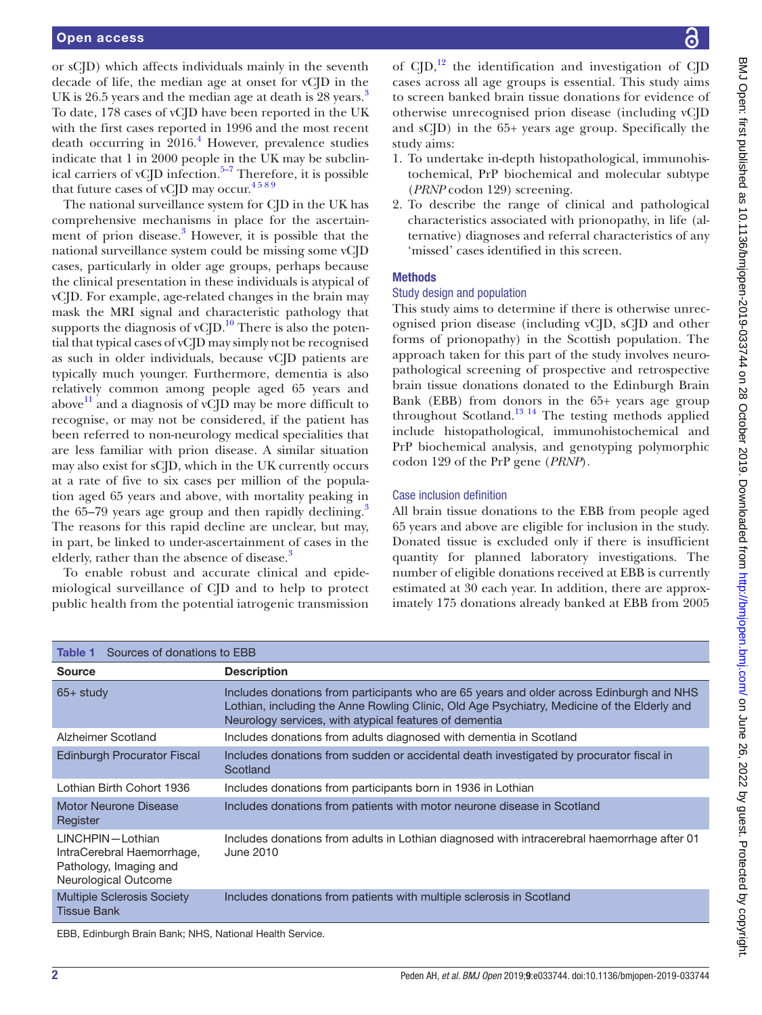or sCJD) which affects individuals mainly in the seventh decade of life, the median age at onset for vCJD in the UK is 26.5 years and the median age at death is 28 years.<sup>[3](#page-6-1)</sup> To date, 178 cases of vCJD have been reported in the UK with the first cases reported in 1996 and the most recent death occurring in  $2016$ .<sup>[4](#page-6-2)</sup> However, prevalence studies indicate that 1 in 2000 people in the UK may be subclinical carriers of vCJD infection. $5-7$  Therefore, it is possible that future cases of vCJD may occur.<sup>4589</sup>

The national surveillance system for CJD in the UK has comprehensive mechanisms in place for the ascertain-ment of prion disease.<sup>[3](#page-6-1)</sup> However, it is possible that the national surveillance system could be missing some vCJD cases, particularly in older age groups, perhaps because the clinical presentation in these individuals is atypical of vCJD. For example, age-related changes in the brain may mask the MRI signal and characteristic pathology that supports the diagnosis of vCID.<sup>10</sup> There is also the potential that typical cases of vCJD may simply not be recognised as such in older individuals, because vCJD patients are typically much younger. Furthermore, dementia is also relatively common among people aged 65 years and above $11$  and a diagnosis of vCJD may be more difficult to recognise, or may not be considered, if the patient has been referred to non-neurology medical specialities that are less familiar with prion disease. A similar situation may also exist for sCJD, which in the UK currently occurs at a rate of five to six cases per million of the population aged 65 years and above, with mortality peaking in the 65–79 years age group and then rapidly declining.<sup>[3](#page-6-1)</sup> The reasons for this rapid decline are unclear, but may, in part, be linked to under-ascertainment of cases in the elderly, rather than the absence of disease.<sup>3</sup>

To enable robust and accurate clinical and epidemiological surveillance of CJD and to help to protect public health from the potential iatrogenic transmission

of  $CID<sup>12</sup>$ , the identification and investigation of CID cases across all age groups is essential. This study aims to screen banked brain tissue donations for evidence of otherwise unrecognised prion disease (including vCJD and sCJD) in the 65+ years age group. Specifically the study aims:

- 1. To undertake in-depth histopathological, immunohistochemical, PrP biochemical and molecular subtype (*PRNP* codon 129) screening.
- 2. To describe the range of clinical and pathological characteristics associated with prionopathy, in life (alternative) diagnoses and referral characteristics of any 'missed' cases identified in this screen.

#### **Methods**

## Study design and population

This study aims to determine if there is otherwise unrecognised prion disease (including vCJD, sCJD and other forms of prionopathy) in the Scottish population. The approach taken for this part of the study involves neuropathological screening of prospective and retrospective brain tissue donations donated to the Edinburgh Brain Bank (EBB) from donors in the 65+ years age group throughout Scotland.<sup>[13 14](#page-6-7)</sup> The testing methods applied include histopathological, immunohistochemical and PrP biochemical analysis, and genotyping polymorphic codon 129 of the PrP gene (*PRNP*).

#### Case inclusion definition

All brain tissue donations to the EBB from people aged 65 years and above are eligible for inclusion in the study. Donated tissue is excluded only if there is insufficient quantity for planned laboratory investigations. The number of eligible donations received at EBB is currently estimated at 30 each year. In addition, there are approximately 175 donations already banked at EBB from 2005

<span id="page-1-0"></span>

| Sources of donations to EBB<br>Table 1                                                           |                                                                                                                                                                                                                                                   |  |  |  |
|--------------------------------------------------------------------------------------------------|---------------------------------------------------------------------------------------------------------------------------------------------------------------------------------------------------------------------------------------------------|--|--|--|
| <b>Source</b>                                                                                    | <b>Description</b>                                                                                                                                                                                                                                |  |  |  |
| $65+$ study                                                                                      | Includes donations from participants who are 65 years and older across Edinburgh and NHS<br>Lothian, including the Anne Rowling Clinic, Old Age Psychiatry, Medicine of the Elderly and<br>Neurology services, with atypical features of dementia |  |  |  |
| Alzheimer Scotland                                                                               | Includes donations from adults diagnosed with dementia in Scotland                                                                                                                                                                                |  |  |  |
| <b>Edinburgh Procurator Fiscal</b>                                                               | Includes donations from sudden or accidental death investigated by procurator fiscal in<br>Scotland                                                                                                                                               |  |  |  |
| Lothian Birth Cohort 1936                                                                        | Includes donations from participants born in 1936 in Lothian                                                                                                                                                                                      |  |  |  |
| Motor Neurone Disease<br>Register                                                                | Includes donations from patients with motor neurone disease in Scotland                                                                                                                                                                           |  |  |  |
| LINCHPIN-Lothian<br>IntraCerebral Haemorrhage,<br>Pathology, Imaging and<br>Neurological Outcome | Includes donations from adults in Lothian diagnosed with intracerebral haemorrhage after 01<br>June 2010                                                                                                                                          |  |  |  |
| <b>Multiple Sclerosis Society</b><br><b>Tissue Bank</b>                                          | Includes donations from patients with multiple sclerosis in Scotland                                                                                                                                                                              |  |  |  |
| ERR, Edinburgh Broin Bank, NUC, National Hoolth Consing                                          |                                                                                                                                                                                                                                                   |  |  |  |

Bank; NHS, National Health Serv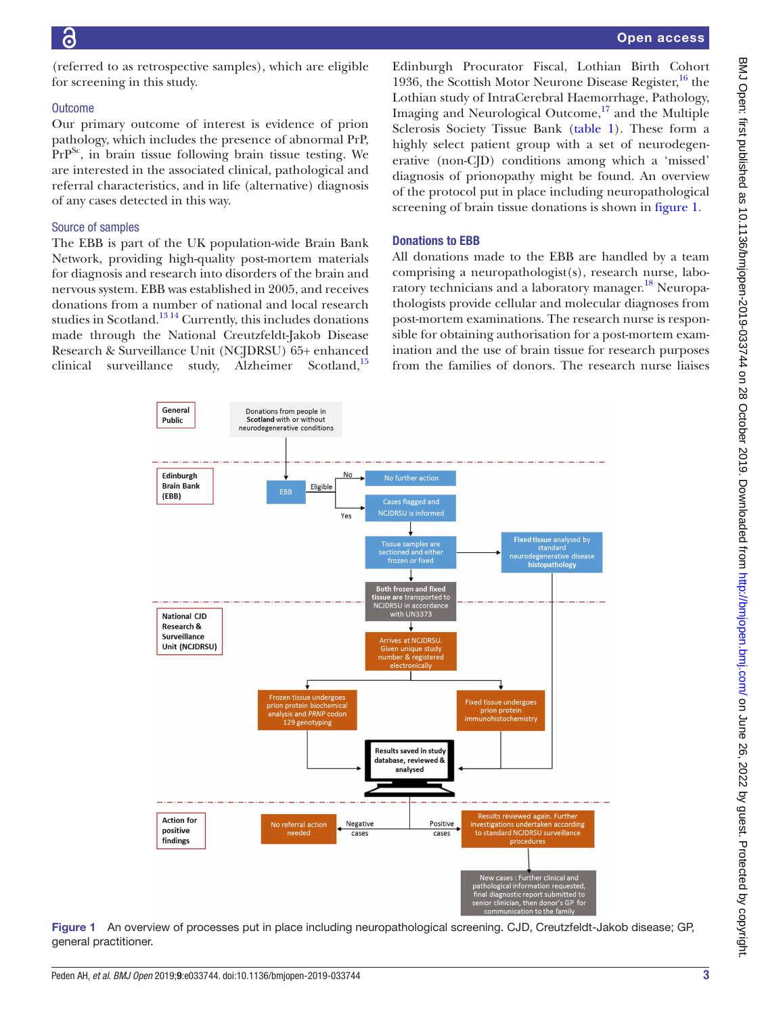(referred to as retrospective samples), which are eligible for screening in this study.

## **Outcome**

Our primary outcome of interest is evidence of prion pathology, which includes the presence of abnormal PrP,  $PrP^{Sc}$ , in brain tissue following brain tissue testing. We are interested in the associated clinical, pathological and referral characteristics, and in life (alternative) diagnosis of any cases detected in this way.

## Source of samples

The EBB is part of the UK population-wide Brain Bank Network, providing high-quality post-mortem materials for diagnosis and research into disorders of the brain and nervous system. EBB was established in 2005, and receives donations from a number of national and local research studies in Scotland.<sup>13 14</sup> Currently, this includes donations made through the National Creutzfeldt-Jakob Disease Research & Surveillance Unit (NCJDRSU) 65+ enhanced clinical surveillance study, Alzheimer Scotland,<sup>[15](#page-6-8)</sup>

Edinburgh Procurator Fiscal, Lothian Birth Cohort 1936, the Scottish Motor Neurone Disease Register,  $^{16}$  the Lothian study of IntraCerebral Haemorrhage, Pathology, Imaging and Neurological Outcome,<sup>17</sup> and the Multiple Sclerosis Society Tissue Bank ([table](#page-1-0) 1). These form a highly select patient group with a set of neurodegenerative (non-CJD) conditions among which a 'missed' diagnosis of prionopathy might be found. An overview of the protocol put in place including neuropathological screening of brain tissue donations is shown in [figure](#page-2-0) 1.

## Donations to EBB

All donations made to the EBB are handled by a team comprising a neuropathologist(s), research nurse, laboratory technicians and a laboratory manager.<sup>18</sup> Neuropathologists provide cellular and molecular diagnoses from post-mortem examinations. The research nurse is responsible for obtaining authorisation for a post-mortem examination and the use of brain tissue for research purposes from the families of donors. The research nurse liaises



<span id="page-2-0"></span>Figure 1 An overview of processes put in place including neuropathological screening. CJD, Creutzfeldt-Jakob disease; GP, general practitioner.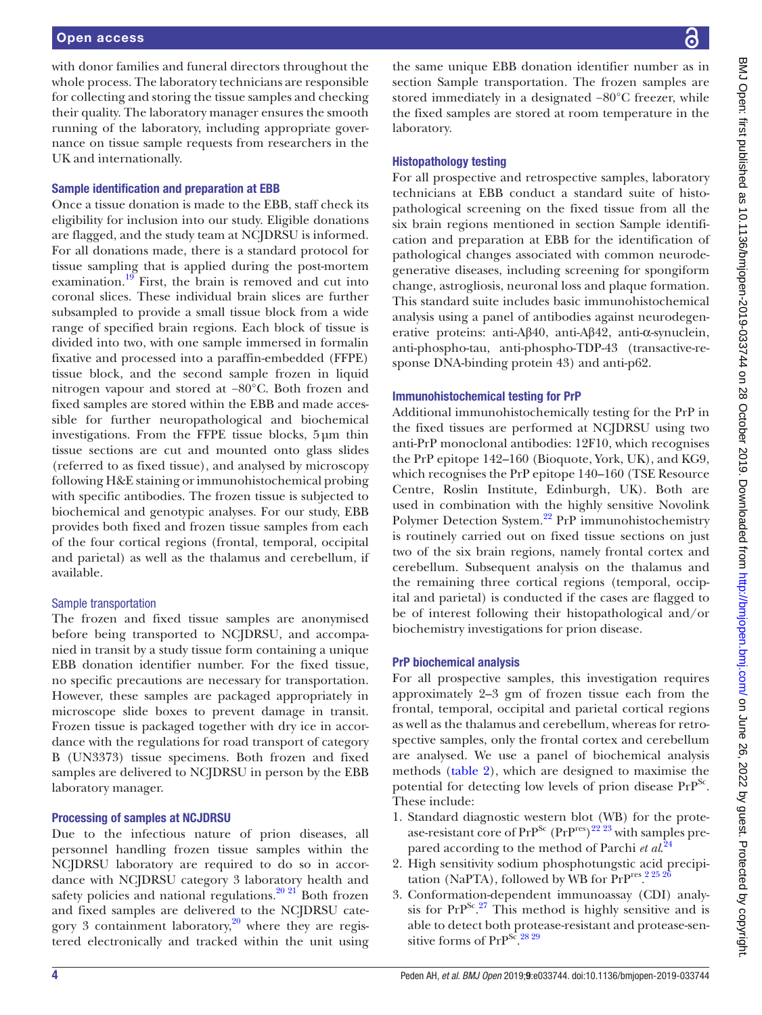with donor families and funeral directors throughout the whole process. The laboratory technicians are responsible for collecting and storing the tissue samples and checking their quality. The laboratory manager ensures the smooth running of the laboratory, including appropriate governance on tissue sample requests from researchers in the UK and internationally.

#### Sample identification and preparation at EBB

Once a tissue donation is made to the EBB, staff check its eligibility for inclusion into our study. Eligible donations are flagged, and the study team at NCJDRSU is informed. For all donations made, there is a standard protocol for tissue sampling that is applied during the post-mortem examination.<sup>19</sup> First, the brain is removed and cut into coronal slices. These individual brain slices are further subsampled to provide a small tissue block from a wide range of specified brain regions. Each block of tissue is divided into two, with one sample immersed in formalin fixative and processed into a paraffin-embedded (FFPE) tissue block, and the second sample frozen in liquid nitrogen vapour and stored at −80°C. Both frozen and fixed samples are stored within the EBB and made accessible for further neuropathological and biochemical investigations. From the FFPE tissue blocks, 5µm thin tissue sections are cut and mounted onto glass slides (referred to as fixed tissue), and analysed by microscopy following H&E staining or immunohistochemical probing with specific antibodies. The frozen tissue is subjected to biochemical and genotypic analyses. For our study, EBB provides both fixed and frozen tissue samples from each of the four cortical regions (frontal, temporal, occipital and parietal) as well as the thalamus and cerebellum, if available.

## Sample transportation

The frozen and fixed tissue samples are anonymised before being transported to NCJDRSU, and accompanied in transit by a study tissue form containing a unique EBB donation identifier number. For the fixed tissue, no specific precautions are necessary for transportation. However, these samples are packaged appropriately in microscope slide boxes to prevent damage in transit. Frozen tissue is packaged together with dry ice in accordance with the regulations for road transport of category B (UN3373) tissue specimens. Both frozen and fixed samples are delivered to NCJDRSU in person by the EBB laboratory manager.

#### Processing of samples at NCJDRSU

Due to the infectious nature of prion diseases, all personnel handling frozen tissue samples within the NCJDRSU laboratory are required to do so in accordance with NCJDRSU category 3 laboratory health and safety policies and national regulations.<sup>[20 21](#page-6-13)</sup> Both frozen and fixed samples are delivered to the NCJDRSU category 3 containment laboratory, $20$  where they are registered electronically and tracked within the unit using

the same unique EBB donation identifier number as in section Sample transportation. The frozen samples are stored immediately in a designated −80°C freezer, while the fixed samples are stored at room temperature in the laboratory.

### Histopathology testing

For all prospective and retrospective samples, laboratory technicians at EBB conduct a standard suite of histopathological screening on the fixed tissue from all the six brain regions mentioned in section Sample identification and preparation at EBB for the identification of pathological changes associated with common neurodegenerative diseases, including screening for spongiform change, astrogliosis, neuronal loss and plaque formation. This standard suite includes basic immunohistochemical analysis using a panel of antibodies against neurodegenerative proteins: anti-Aβ40, anti-Aβ42, anti-α-synuclein, anti-phospho-tau, anti-phospho-TDP-43 (transactive-response DNA-binding protein 43) and anti-p62.

#### Immunohistochemical testing for PrP

Additional immunohistochemically testing for the PrP in the fixed tissues are performed at NCJDRSU using two anti-PrP monoclonal antibodies: 12F10, which recognises the PrP epitope 142–160 (Bioquote, York, UK), and KG9, which recognises the PrP epitope 140–160 (TSE Resource Centre, Roslin Institute, Edinburgh, UK). Both are used in combination with the highly sensitive Novolink Polymer Detection System.<sup>22</sup> PrP immunohistochemistry is routinely carried out on fixed tissue sections on just two of the six brain regions, namely frontal cortex and cerebellum. Subsequent analysis on the thalamus and the remaining three cortical regions (temporal, occipital and parietal) is conducted if the cases are flagged to be of interest following their histopathological and/or biochemistry investigations for prion disease.

#### PrP biochemical analysis

For all prospective samples, this investigation requires approximately 2–3 gm of frozen tissue each from the frontal, temporal, occipital and parietal cortical regions as well as the thalamus and cerebellum, whereas for retrospective samples, only the frontal cortex and cerebellum are analysed. We use a panel of biochemical analysis methods ([table](#page-4-0) 2), which are designed to maximise the potential for detecting low levels of prion disease PrP<sup>Sc</sup>. These include:

- 1. Standard diagnostic western blot (WB) for the protease-resistant core of  $PrP^{Sc}$  ( $PrP^{res}$ )<sup>[22](#page-6-14) [23](#page-6-15)</sup> with samples prepared according to the method of Parchi *et al*. [24](#page-6-16)
- 2. High sensitivity sodium phosphotungstic acid precipitation (NaPTA), followed by WB for  $PrP<sup>res</sup>$ .  $22526$
- 3. Conformation-dependent immunoassay (CDI) analysis for  $PrP^{Sc}$ .<sup>[27](#page-6-18)</sup> This method is highly sensitive and is able to detect both protease-resistant and protease-sensitive forms of  $PrP^{S\bar{c}}$ . [28 29](#page-6-19)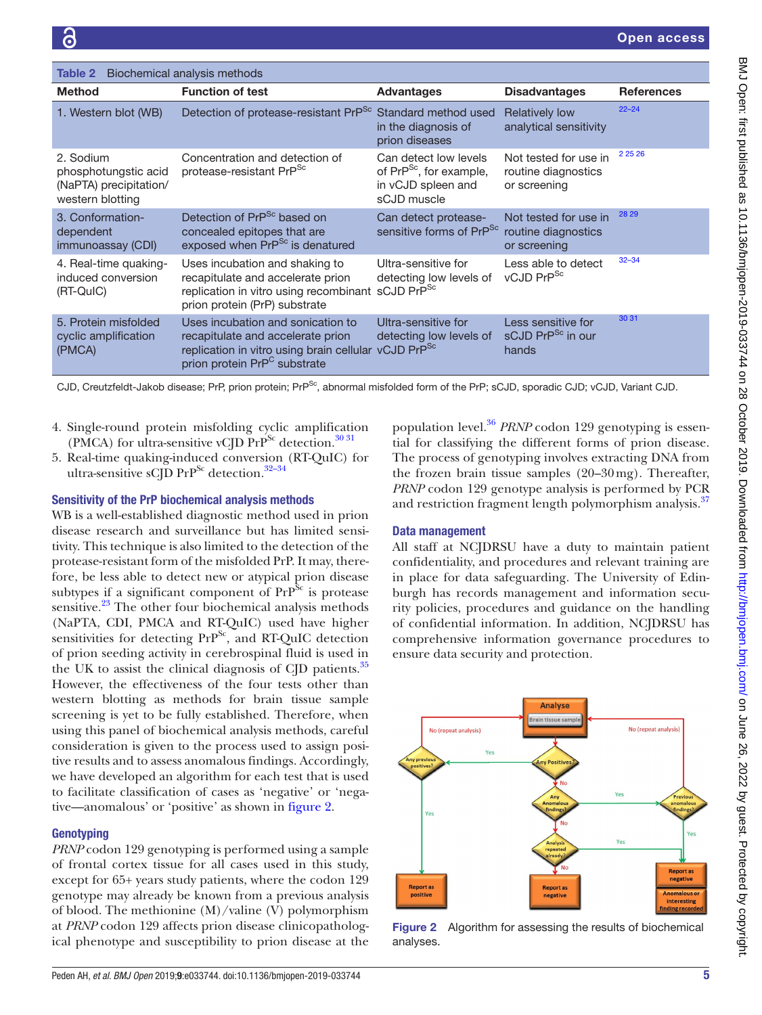<span id="page-4-0"></span>

| Biochemical analysis methods<br>Table 2                                         |                                                                                                                                                                                        |                                                                                                   |                                                              |                   |  |
|---------------------------------------------------------------------------------|----------------------------------------------------------------------------------------------------------------------------------------------------------------------------------------|---------------------------------------------------------------------------------------------------|--------------------------------------------------------------|-------------------|--|
| <b>Method</b>                                                                   | <b>Function of test</b>                                                                                                                                                                | <b>Advantages</b>                                                                                 | <b>Disadvantages</b>                                         | <b>References</b> |  |
| 1. Western blot (WB)                                                            | Detection of protease-resistant PrP <sup>Sc</sup>                                                                                                                                      | Standard method used<br>in the diagnosis of<br>prion diseases                                     | <b>Relatively low</b><br>analytical sensitivity              | $22 - 24$         |  |
| 2. Sodium<br>phosphotungstic acid<br>(NaPTA) precipitation/<br>western blotting | Concentration and detection of<br>protease-resistant PrP <sup>Sc</sup>                                                                                                                 | Can detect low levels<br>of PrP <sup>Sc</sup> , for example,<br>in vCJD spleen and<br>sCJD muscle | Not tested for use in<br>routine diagnostics<br>or screening | 2 25 26           |  |
| 3. Conformation-<br>dependent<br>immunoassay (CDI)                              | Detection of PrP <sup>Sc</sup> based on<br>concealed epitopes that are<br>exposed when PrP <sup>Sc</sup> is denatured                                                                  | Can detect protease-<br>sensitive forms of PrP <sup>Sc</sup>                                      | Not tested for use in<br>routine diagnostics<br>or screening | 28 29             |  |
| 4. Real-time quaking-<br>induced conversion<br>(RT-QuIC)                        | Uses incubation and shaking to<br>recapitulate and accelerate prion<br>replication in vitro using recombinant sCJD PrP <sup>Sc</sup><br>prion protein (PrP) substrate                  | Ultra-sensitive for<br>detecting low levels of                                                    | Less able to detect<br>vCJD PrP <sup>Sc</sup>                | $32 - 34$         |  |
| 5. Protein misfolded<br>cyclic amplification<br>(PMCA)                          | Uses incubation and sonication to<br>recapitulate and accelerate prion<br>replication in vitro using brain cellular vCJD PrP <sup>Sc</sup><br>prion protein PrP <sup>C</sup> substrate | Ultra-sensitive for<br>detecting low levels of                                                    | Less sensitive for<br>sCJD PrP <sup>Sc</sup> in our<br>hands | 30 31             |  |

CJD, Creutzfeldt-Jakob disease; PrP, prion protein; PrP<sup>Sc</sup>, abnormal misfolded form of the PrP; sCJD, sporadic CJD; vCJD, Variant CJD.

- 4. Single-round protein misfolding cyclic amplification (PMCA) for ultra-sensitive vCJD  $Pr<sup>Sc</sup>$  detection.<sup>[30 31](#page-6-21)</sup>
- 5. Real-time quaking-induced conversion (RT-QuIC) for ultra-sensitive sCJD PrP<sup>Sc</sup> detection.<sup>32-34</sup>

## Sensitivity of the PrP biochemical analysis methods

WB is a well-established diagnostic method used in prion disease research and surveillance but has limited sensitivity. This technique is also limited to the detection of the protease-resistant form of the misfolded PrP. It may, therefore, be less able to detect new or atypical prion disease subtypes if a significant component of  $PrP^{Sc}$  is protease sensitive.<sup>23</sup> The other four biochemical analysis methods (NaPTA, CDI, PMCA and RT-QuIC) used have higher sensitivities for detecting  $PrP^{Sc}$ , and RT-QuIC detection of prion seeding activity in cerebrospinal fluid is used in the UK to assist the clinical diagnosis of CJD patients.<sup>35</sup> However, the effectiveness of the four tests other than western blotting as methods for brain tissue sample screening is yet to be fully established. Therefore, when using this panel of biochemical analysis methods, careful consideration is given to the process used to assign positive results and to assess anomalous findings. Accordingly, we have developed an algorithm for each test that is used to facilitate classification of cases as 'negative' or 'negative—anomalous' or 'positive' as shown in [figure](#page-4-1) 2.

# **Genotyping**

*PRNP* codon 129 genotyping is performed using a sample of frontal cortex tissue for all cases used in this study, except for 65+ years study patients, where the codon 129 genotype may already be known from a previous analysis of blood. The methionine (M)/valine (V) polymorphism at *PRNP* codon 129 affects prion disease clinicopathological phenotype and susceptibility to prion disease at the

population level.[36](#page-6-23) *PRNP* codon 129 genotyping is essential for classifying the different forms of prion disease. The process of genotyping involves extracting DNA from the frozen brain tissue samples (20–30mg). Thereafter, *PRNP* codon 129 genotype analysis is performed by PCR and restriction fragment length polymorphism analysis.<sup>[37](#page-6-24)</sup>

# Data management

All staff at NCJDRSU have a duty to maintain patient confidentiality, and procedures and relevant training are in place for data safeguarding. The University of Edinburgh has records management and information security policies, procedures and guidance on the handling of confidential information. In addition, NCJDRSU has comprehensive information governance procedures to ensure data security and protection.



<span id="page-4-1"></span>Figure 2 Algorithm for assessing the results of biochemical analyses.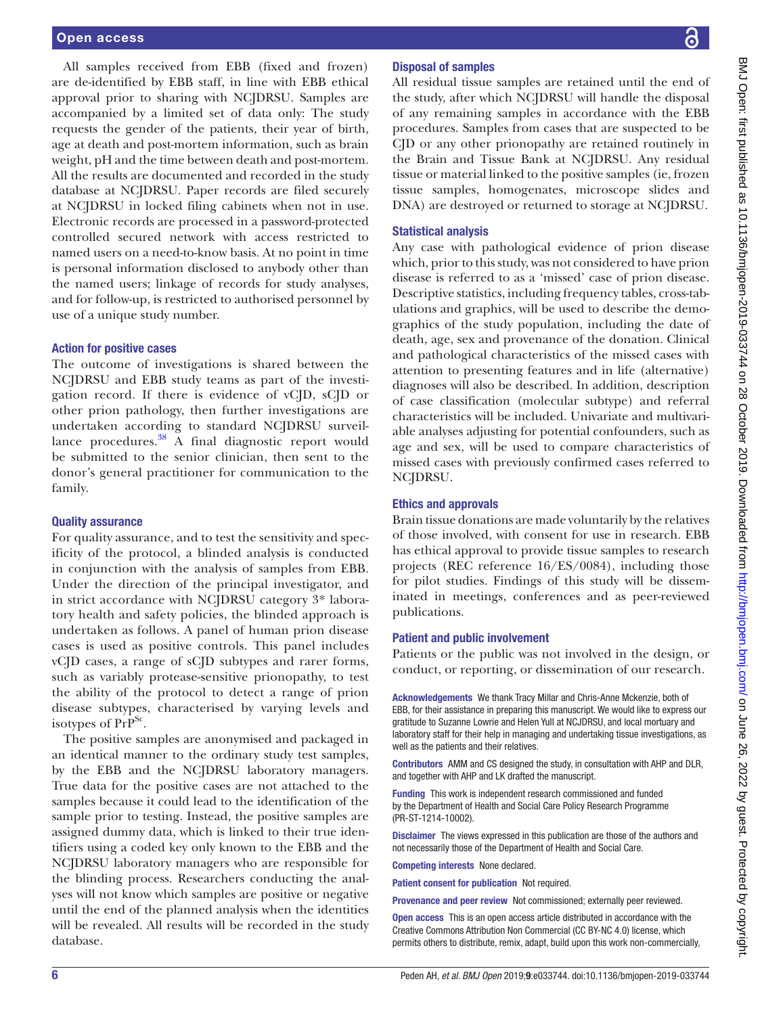All samples received from EBB (fixed and frozen) are de-identified by EBB staff, in line with EBB ethical approval prior to sharing with NCJDRSU. Samples are accompanied by a limited set of data only: The study requests the gender of the patients, their year of birth, age at death and post-mortem information, such as brain weight, pH and the time between death and post-mortem. All the results are documented and recorded in the study database at NCJDRSU. Paper records are filed securely at NCJDRSU in locked filing cabinets when not in use. Electronic records are processed in a password-protected controlled secured network with access restricted to named users on a need-to-know basis. At no point in time is personal information disclosed to anybody other than the named users; linkage of records for study analyses, and for follow-up, is restricted to authorised personnel by use of a unique study number.

#### Action for positive cases

The outcome of investigations is shared between the NCJDRSU and EBB study teams as part of the investigation record. If there is evidence of vCJD, sCJD or other prion pathology, then further investigations are undertaken according to standard NCJDRSU surveillance procedures. $38$  A final diagnostic report would be submitted to the senior clinician, then sent to the donor's general practitioner for communication to the family.

#### Quality assurance

For quality assurance, and to test the sensitivity and specificity of the protocol, a blinded analysis is conducted in conjunction with the analysis of samples from EBB. Under the direction of the principal investigator, and in strict accordance with NCJDRSU category 3\* laboratory health and safety policies, the blinded approach is undertaken as follows. A panel of human prion disease cases is used as positive controls. This panel includes vCJD cases, a range of sCJD subtypes and rarer forms, such as variably protease-sensitive prionopathy, to test the ability of the protocol to detect a range of prion disease subtypes, characterised by varying levels and isotypes of  $PrP^{Sc}$ .

The positive samples are anonymised and packaged in an identical manner to the ordinary study test samples, by the EBB and the NCJDRSU laboratory managers. True data for the positive cases are not attached to the samples because it could lead to the identification of the sample prior to testing. Instead, the positive samples are assigned dummy data, which is linked to their true identifiers using a coded key only known to the EBB and the NCJDRSU laboratory managers who are responsible for the blinding process. Researchers conducting the analyses will not know which samples are positive or negative until the end of the planned analysis when the identities will be revealed. All results will be recorded in the study database.

## Disposal of samples

All residual tissue samples are retained until the end of the study, after which NCJDRSU will handle the disposal of any remaining samples in accordance with the EBB procedures. Samples from cases that are suspected to be CJD or any other prionopathy are retained routinely in the Brain and Tissue Bank at NCJDRSU. Any residual tissue or material linked to the positive samples (ie, frozen tissue samples, homogenates, microscope slides and DNA) are destroyed or returned to storage at NCJDRSU.

## Statistical analysis

Any case with pathological evidence of prion disease which, prior to this study, was not considered to have prion disease is referred to as a 'missed' case of prion disease. Descriptive statistics, including frequency tables, cross-tabulations and graphics, will be used to describe the demographics of the study population, including the date of death, age, sex and provenance of the donation. Clinical and pathological characteristics of the missed cases with attention to presenting features and in life (alternative) diagnoses will also be described. In addition, description of case classification (molecular subtype) and referral characteristics will be included. Univariate and multivariable analyses adjusting for potential confounders, such as age and sex, will be used to compare characteristics of missed cases with previously confirmed cases referred to NCJDRSU.

#### Ethics and approvals

Brain tissue donations are made voluntarily by the relatives of those involved, with consent for use in research. EBB has ethical approval to provide tissue samples to research projects (REC reference 16/ES/0084), including those for pilot studies. Findings of this study will be disseminated in meetings, conferences and as peer-reviewed publications.

#### Patient and public involvement

Patients or the public was not involved in the design, or conduct, or reporting, or dissemination of our research.

Acknowledgements We thank Tracy Millar and Chris-Anne Mckenzie, both of EBB, for their assistance in preparing this manuscript. We would like to express our gratitude to Suzanne Lowrie and Helen Yull at NCJDRSU, and local mortuary and laboratory staff for their help in managing and undertaking tissue investigations, as well as the patients and their relatives.

Contributors AMM and CS designed the study, in consultation with AHP and DLR, and together with AHP and LK drafted the manuscript.

Funding This work is independent research commissioned and funded by the Department of Health and Social Care Policy Research Programme (PR-ST-1214-10002).

Disclaimer The views expressed in this publication are those of the authors and not necessarily those of the Department of Health and Social Care.

Competing interests None declared.

Patient consent for publication Not required.

Provenance and peer review Not commissioned; externally peer reviewed.

Open access This is an open access article distributed in accordance with the Creative Commons Attribution Non Commercial (CC BY-NC 4.0) license, which permits others to distribute, remix, adapt, build upon this work non-commercially,